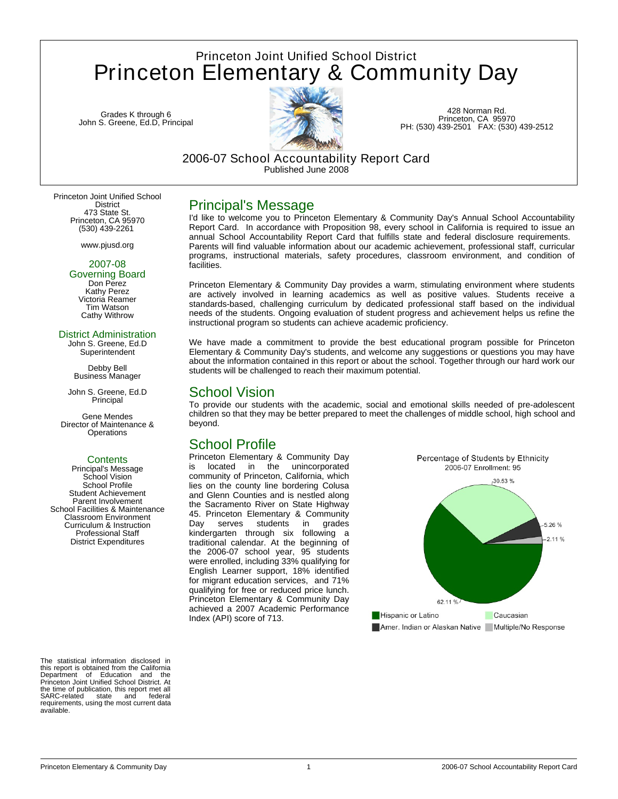Princeton Joint Unified School District Princeton Elementary & Community Day

Grades K through 6 John S. Greene, Ed.D, Principal



428 Norman Rd. Princeton, CA 95970 PH: (530) 439-2501 FAX: (530) 439-2512

2006-07 School Accountability Report Card Published June 2008

Princeton Joint Unified School District 473 State St. Princeton, CA 95970 (530) 439-2261

www.pjusd.org

# 2007-08

Governing Board Don Perez Kathy Perez Victoria Reamer Tim Watson Cathy Withrow

#### District Administration

John S. Greene, Ed.D **Superintendent** 

Debby Bell Business Manager

John S. Greene, Ed.D **Principal** 

Gene Mendes Director of Maintenance & **Operations** 

### **Contents**

Principal's Message School Vision School Profile Student Achievement Parent Involvement School Facilities & Maintenance Classroom Environment Curriculum & Instruction Professional Staff District Expenditures

The statistical information disclosed in this report is obtained from the California Department of Education and the Princeton Joint Unified School District. At the time of publication, this report met all SARC-related state and federal requirements, using the most current data available.

# Principal's Message

I'd like to welcome you to Princeton Elementary & Community Day's Annual School Accountability Report Card. In accordance with Proposition 98, every school in California is required to issue an annual School Accountability Report Card that fulfills state and federal disclosure requirements. Parents will find valuable information about our academic achievement, professional staff, curricular programs, instructional materials, safety procedures, classroom environment, and condition of facilities.

Princeton Elementary & Community Day provides a warm, stimulating environment where students are actively involved in learning academics as well as positive values. Students receive a standards-based, challenging curriculum by dedicated professional staff based on the individual needs of the students. Ongoing evaluation of student progress and achievement helps us refine the instructional program so students can achieve academic proficiency.

We have made a commitment to provide the best educational program possible for Princeton Elementary & Community Day's students, and welcome any suggestions or questions you may have about the information contained in this report or about the school. Together through our hard work our students will be challenged to reach their maximum potential.

# School Vision

To provide our students with the academic, social and emotional skills needed of pre-adolescent children so that they may be better prepared to meet the challenges of middle school, high school and beyond.

# School Profile

Princeton Elementary & Community Day is located in the unincorporated community of Princeton, California, which lies on the county line bordering Colusa and Glenn Counties and is nestled along the Sacramento River on State Highway 45. Princeton Elementary & Community Day serves students in grades kindergarten through six following a traditional calendar. At the beginning of the 2006-07 school year, 95 students were enrolled, including 33% qualifying for English Learner support, 18% identified for migrant education services, and 71% qualifying for free or reduced price lunch. Princeton Elementary & Community Day achieved a 2007 Academic Performance Index (API) score of 713.

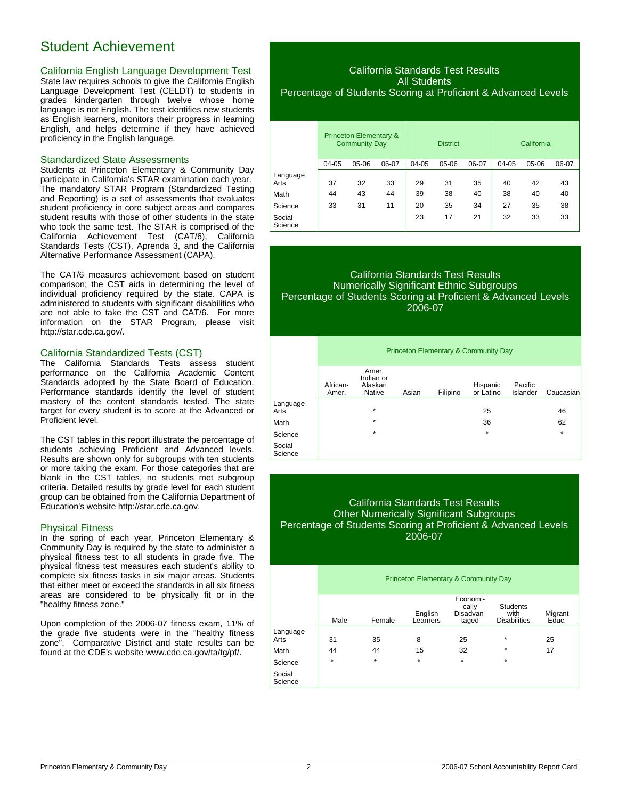# Student Achievement

## California English Language Development Test

State law requires schools to give the California English Language Development Test (CELDT) to students in grades kindergarten through twelve whose home language is not English. The test identifies new students as English learners, monitors their progress in learning English, and helps determine if they have achieved proficiency in the English language.

#### Standardized State Assessments

Students at Princeton Elementary & Community Day participate in California's STAR examination each year. The mandatory STAR Program (Standardized Testing and Reporting) is a set of assessments that evaluates student proficiency in core subject areas and compares student results with those of other students in the state who took the same test. The STAR is comprised of the California Achievement Test (CAT/6), California Standards Tests (CST), Aprenda 3, and the California Alternative Performance Assessment (CAPA).

The CAT/6 measures achievement based on student comparison; the CST aids in determining the level of individual proficiency required by the state. CAPA is administered to students with significant disabilities who are not able to take the CST and CAT/6. For more information on the STAR Program, please visit http://star.cde.ca.gov/.

### California Standardized Tests (CST)

The California Standards Tests assess student performance on the California Academic Content Standards adopted by the State Board of Education. Performance standards identify the level of student mastery of the content standards tested. The state target for every student is to score at the Advanced or Proficient level.

The CST tables in this report illustrate the percentage of students achieving Proficient and Advanced levels. Results are shown only for subgroups with ten students or more taking the exam. For those categories that are blank in the CST tables, no students met subgroup criteria. Detailed results by grade level for each student group can be obtained from the California Department of Education's website http://star.cde.ca.gov.

### Physical Fitness

In the spring of each year, Princeton Elementary & Community Day is required by the state to administer a physical fitness test to all students in grade five. The physical fitness test measures each student's ability to complete six fitness tasks in six major areas. Students that either meet or exceed the standards in all six fitness areas are considered to be physically fit or in the "healthy fitness zone."

Upon completion of the 2006-07 fitness exam, 11% of the grade five students were in the "healthy fitness zone". Comparative District and state results can be found at the CDE's website www.cde.ca.gov/ta/tg/pf/.

#### California Standards Test Results All Students Percentage of Students Scoring at Proficient & Advanced Levels

|                   | <b>Princeton Elementary &amp;</b><br><b>Community Day</b> |       | <b>District</b> |       |         | California |       |       |       |
|-------------------|-----------------------------------------------------------|-------|-----------------|-------|---------|------------|-------|-------|-------|
|                   | 04-05                                                     | 05-06 | 06-07           | 04-05 | $05-06$ | 06-07      | 04-05 | 05-06 | 06-07 |
| Language<br>Arts  | 37                                                        | 32    | 33              | 29    | 31      | 35         | 40    | 42    | 43    |
| Math              | 44                                                        | 43    | 44              | 39    | 38      | 40         | 38    | 40    | 40    |
| Science           | 33                                                        | 31    | 11              | 20    | 35      | 34         | 27    | 35    | 38    |
| Social<br>Science |                                                           |       |                 | 23    | 17      | 21         | 32    | 33    | 33    |

## California Standards Test Results Numerically Significant Ethnic Subgroups Percentage of Students Scoring at Proficient & Advanced Levels 2006-07

|                   |                   |                                         |       |          | <b>Princeton Elementary &amp; Community Day</b> |                     |           |
|-------------------|-------------------|-----------------------------------------|-------|----------|-------------------------------------------------|---------------------|-----------|
|                   | African-<br>Amer. | Amer.<br>Indian or<br>Alaskan<br>Native | Asian | Filipino | Hispanic<br>or Latino                           | Pacific<br>Islander | Caucasian |
| Language<br>Arts  |                   | $\star$                                 |       |          | 25                                              |                     | 46        |
| Math              |                   | $\star$                                 |       |          | 36                                              |                     | 62        |
| Science           |                   | $\star$                                 |       |          | $\star$                                         |                     | $\star$   |
| Social<br>Science |                   |                                         |       |          |                                                 |                     |           |

# California Standards Test Results Other Numerically Significant Subgroups Percentage of Students Scoring at Proficient & Advanced Levels 2006-07

|                   |      |         | <b>Princeton Elementary &amp; Community Day</b> |                                         |                                                |                  |
|-------------------|------|---------|-------------------------------------------------|-----------------------------------------|------------------------------------------------|------------------|
|                   | Male | Female  | English<br>Learners                             | Economi-<br>cally<br>Disadvan-<br>taged | <b>Students</b><br>with<br><b>Disabilities</b> | Migrant<br>Educ. |
| Language<br>Arts  | 31   | 35      | 8                                               | 25                                      | $\star$                                        | 25               |
| Math              | 44   | 44      | 15                                              | 32                                      | $\star$                                        | 17               |
| Science           | *    | $\star$ | $\star$                                         | $\star$                                 | $\star$                                        |                  |
| Social<br>Science |      |         |                                                 |                                         |                                                |                  |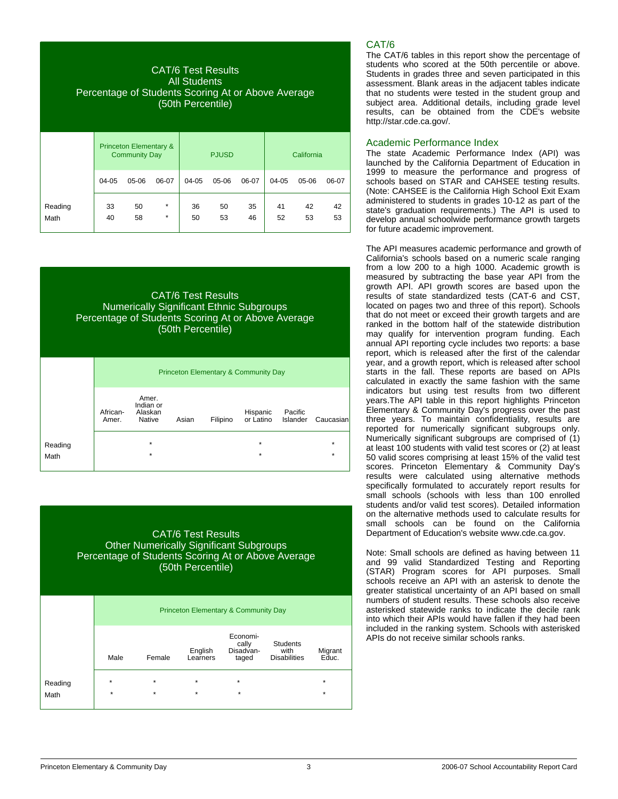| <b>CAT/6 Test Results</b><br><b>All Students</b><br>Percentage of Students Scoring At or Above Average<br>(50th Percentile) |           |                                                           |                    |           |              |          |           |            |          |
|-----------------------------------------------------------------------------------------------------------------------------|-----------|-----------------------------------------------------------|--------------------|-----------|--------------|----------|-----------|------------|----------|
|                                                                                                                             |           | <b>Princeton Elementary &amp;</b><br><b>Community Day</b> |                    |           | <b>PJUSD</b> |          |           | California |          |
|                                                                                                                             | $04 - 05$ | $05-06$                                                   | 06-07              | $04 - 05$ | $05-06$      | 06-07    | $04 - 05$ | $05 - 06$  | 06-07    |
| Reading<br>Math                                                                                                             | 33<br>40  | 50<br>58                                                  | $\star$<br>$\star$ | 36<br>50  | 50<br>53     | 35<br>46 | 41<br>52  | 42<br>53   | 42<br>53 |

### CAT/6 Test Results Numerically Significant Ethnic Subgroups Percentage of Students Scoring At or Above Average (50th Percentile)

|                 |                   |                                         |       |          | Princeton Elementary & Community Day |                     |                    |
|-----------------|-------------------|-----------------------------------------|-------|----------|--------------------------------------|---------------------|--------------------|
|                 | African-<br>Amer. | Amer.<br>Indian or<br>Alaskan<br>Native | Asian | Filipino | Hispanic<br>or Latino                | Pacific<br>Islander | Caucasian          |
| Reading<br>Math |                   | $\star$<br>$\star$                      |       |          | $\star$<br>$\star$                   |                     | $\star$<br>$\star$ |

# CAT/6 Test Results Other Numerically Significant Subgroups Percentage of Students Scoring At or Above Average (50th Percentile)

|                 | <b>Princeton Elementary &amp; Community Day</b> |                    |                     |                                         |                                                |                    |
|-----------------|-------------------------------------------------|--------------------|---------------------|-----------------------------------------|------------------------------------------------|--------------------|
|                 | Male                                            | Female             | English<br>Learners | Economi-<br>cally<br>Disadvan-<br>taged | <b>Students</b><br>with<br><b>Disabilities</b> | Migrant<br>Educ.   |
| Reading<br>Math | $\star$<br>$\star$                              | $\star$<br>$\star$ | $\star$<br>$\star$  | $\star$<br>$\star$                      |                                                | $\star$<br>$\star$ |

# CAT/6

The CAT/6 tables in this report show the percentage of students who scored at the 50th percentile or above. Students in grades three and seven participated in this assessment. Blank areas in the adjacent tables indicate that no students were tested in the student group and subject area. Additional details, including grade level results, can be obtained from the CDE's website http://star.cde.ca.gov/.

# Academic Performance Index

The state Academic Performance Index (API) was launched by the California Department of Education in 1999 to measure the performance and progress of schools based on STAR and CAHSEE testing results. (Note: CAHSEE is the California High School Exit Exam administered to students in grades 10-12 as part of the state's graduation requirements.) The API is used to develop annual schoolwide performance growth targets for future academic improvement.

The API measures academic performance and growth of California's schools based on a numeric scale ranging from a low 200 to a high 1000. Academic growth is measured by subtracting the base year API from the growth API. API growth scores are based upon the results of state standardized tests (CAT-6 and CST, located on pages two and three of this report). Schools that do not meet or exceed their growth targets and are ranked in the bottom half of the statewide distribution may qualify for intervention program funding. Each annual API reporting cycle includes two reports: a base report, which is released after the first of the calendar year, and a growth report, which is released after school starts in the fall. These reports are based on APIs calculated in exactly the same fashion with the same indicators but using test results from two different years.The API table in this report highlights Princeton Elementary & Community Day's progress over the past three years. To maintain confidentiality, results are reported for numerically significant subgroups only. Numerically significant subgroups are comprised of (1) at least 100 students with valid test scores or (2) at least 50 valid scores comprising at least 15% of the valid test scores. Princeton Elementary & Community Day's results were calculated using alternative methods specifically formulated to accurately report results for small schools (schools with less than 100 enrolled students and/or valid test scores). Detailed information on the alternative methods used to calculate results for small schools can be found on the California Department of Education's website www.cde.ca.gov.

Note: Small schools are defined as having between 11 and 99 valid Standardized Testing and Reporting (STAR) Program scores for API purposes. Small schools receive an API with an asterisk to denote the greater statistical uncertainty of an API based on small numbers of student results. These schools also receive asterisked statewide ranks to indicate the decile rank into which their APIs would have fallen if they had been included in the ranking system. Schools with asterisked APIs do not receive similar schools ranks.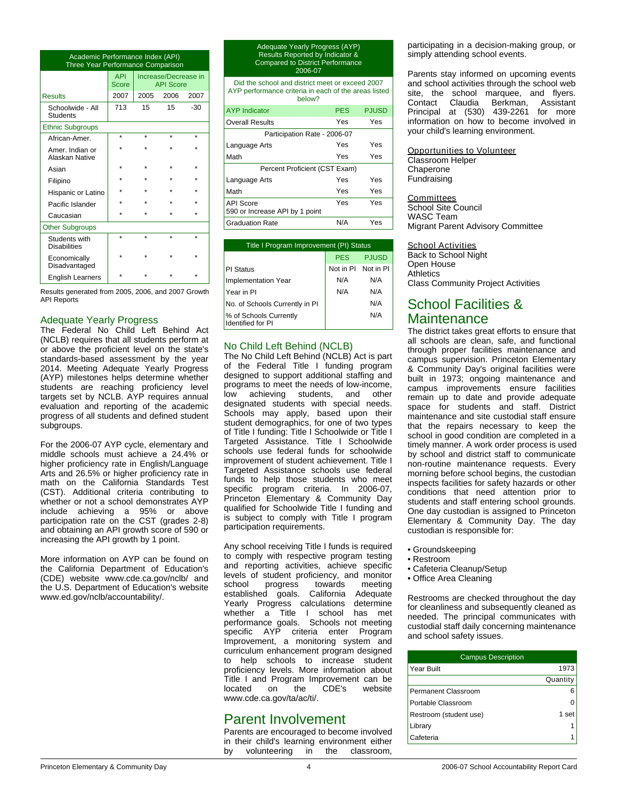| Academic Performance Index (API)<br>Three Year Performance Comparison |                     |         |                                          |         |  |  |
|-----------------------------------------------------------------------|---------------------|---------|------------------------------------------|---------|--|--|
|                                                                       | <b>API</b><br>Score |         | Increase/Decrease in<br><b>API Score</b> |         |  |  |
| <b>Results</b>                                                        | 2007                | 2005    | 2006                                     | 2007    |  |  |
| Schoolwide - All<br>Students                                          | 713                 | 15      | 15                                       | $-30$   |  |  |
| <b>Ethnic Subgroups</b>                                               |                     |         |                                          |         |  |  |
| African-Amer.                                                         | ÷                   | ÷       | ÷                                        | ÷       |  |  |
| Amer. Indian or<br>Alaskan Native                                     |                     |         |                                          |         |  |  |
| Asian                                                                 |                     |         |                                          |         |  |  |
| Filipino                                                              |                     |         |                                          |         |  |  |
| Hispanic or Latino                                                    |                     |         |                                          |         |  |  |
| Pacific Islander                                                      |                     |         |                                          |         |  |  |
| Caucasian                                                             | ٠                   | ÷       | ٠                                        | $\star$ |  |  |
| <b>Other Subgroups</b>                                                |                     |         |                                          |         |  |  |
| Students with<br><b>Disabilities</b>                                  | $\star$             | $\star$ | $\star$                                  | $\star$ |  |  |
| Economically<br>Disadvantaged                                         |                     |         |                                          |         |  |  |
| <b>English Learners</b>                                               |                     |         |                                          |         |  |  |

Results generated from 2005, 2006, and 2007 Growth API Reports

#### Adequate Yearly Progress

The Federal No Child Left Behind Act (NCLB) requires that all students perform at or above the proficient level on the state's standards-based assessment by the year 2014. Meeting Adequate Yearly Progress (AYP) milestones helps determine whether students are reaching proficiency level targets set by NCLB. AYP requires annual evaluation and reporting of the academic progress of all students and defined student subgroups.

For the 2006-07 AYP cycle, elementary and middle schools must achieve a 24.4% or higher proficiency rate in English/Language Arts and 26.5% or higher proficiency rate in math on the California Standards Test (CST). Additional criteria contributing to whether or not a school demonstrates AYP include achieving a 95% or above participation rate on the CST (grades 2-8) and obtaining an API growth score of 590 or increasing the API growth by 1 point.

More information on AYP can be found on the California Department of Education's (CDE) website www.cde.ca.gov/nclb/ and the U.S. Department of Education's website www.ed.gov/nclb/accountability/.

#### Adequate Yearly Progress (AYP) Results Reported by Indicator & Compared to District Performance 2006-07

Did the school and district meet or exceed 2007 AYP performance criteria in each of the areas listed below?

| <b>AYP</b> Indicator                               | <b>PES</b> | <b>PJUSD</b> |
|----------------------------------------------------|------------|--------------|
| <b>Overall Results</b>                             | Yes        | Yes          |
| Participation Rate - 2006-07                       |            |              |
| Language Arts                                      | Yes        | Yes          |
| Math                                               | Yes        | Yes          |
| Percent Proficient (CST Exam)                      |            |              |
| Language Arts                                      | Yes        | Yes          |
| Math                                               | Yes        | Yes          |
| <b>API Score</b><br>590 or Increase API by 1 point | Yes        | Yes          |
| <b>Graduation Rate</b>                             | N/A        | Yes          |
|                                                    |            |              |

| Title I Program Improvement (PI) Status     |                     |              |  |  |  |
|---------------------------------------------|---------------------|--------------|--|--|--|
|                                             | <b>PES</b>          | <b>PJUSD</b> |  |  |  |
| PI Status                                   | Not in PI Not in PI |              |  |  |  |
| Implementation Year                         | N/A                 | N/A          |  |  |  |
| Year in PI                                  | N/A                 | N/A          |  |  |  |
| No. of Schools Currently in PI              |                     | N/A          |  |  |  |
| % of Schools Currently<br>Identified for PI |                     | N/A          |  |  |  |

### No Child Left Behind (NCLB)

The No Child Left Behind (NCLB) Act is part of the Federal Title I funding program designed to support additional staffing and programs to meet the needs of low-income, low achieving students, and other designated students with special needs. Schools may apply, based upon their student demographics, for one of two types of Title I funding: Title I Schoolwide or Title I Targeted Assistance. Title I Schoolwide schools use federal funds for schoolwide improvement of student achievement. Title I Targeted Assistance schools use federal funds to help those students who meet specific program criteria. In 2006-07, Princeton Elementary & Community Day qualified for Schoolwide Title I funding and is subject to comply with Title I program participation requirements.

Any school receiving Title I funds is required to comply with respective program testing and reporting activities, achieve specific levels of student proficiency, and monitor school progress towards meeting established goals. California Adequate Yearly Progress calculations determine whether a Title I school has met performance goals. Schools not meeting specific AYP criteria enter Program Improvement, a monitoring system and curriculum enhancement program designed to help schools to increase student proficiency levels. More information about Title I and Program Improvement can be<br>located on the CDF's website on the CDE's www.cde.ca.gov/ta/ac/ti/.

# Parent Involvement

Parents are encouraged to become involved in their child's learning environment either<br>by volunteering in the classroom, by volunteering in

participating in a decision-making group, or simply attending school events.

Parents stay informed on upcoming events and school activities through the school web site, the school marquee, and flyers. Contact Claudia Berkman, Assistant Principal at (530) 439-2261 for more information on how to become involved in your child's learning environment.

Opportunities to Volunteer Classroom Helper Chaperone Fundraising

Committees School Site Council WASC Team Migrant Parent Advisory Committee

School Activities Back to School Night Open House **Athletics** Class Community Project Activities

# School Facilities & Maintenance

The district takes great efforts to ensure that all schools are clean, safe, and functional through proper facilities maintenance and campus supervision. Princeton Elementary & Community Day's original facilities were built in 1973; ongoing maintenance and campus improvements ensure facilities remain up to date and provide adequate space for students and staff. District maintenance and site custodial staff ensure that the repairs necessary to keep the school in good condition are completed in a timely manner. A work order process is used by school and district staff to communicate non-routine maintenance requests. Every morning before school begins, the custodian inspects facilities for safety hazards or other conditions that need attention prior to students and staff entering school grounds. One day custodian is assigned to Princeton Elementary & Community Day. The day custodian is responsible for:

- Groundskeeping
- Restroom
- Cafeteria Cleanup/Setup
- Office Area Cleaning

Restrooms are checked throughout the day for cleanliness and subsequently cleaned as needed. The principal communicates with custodial staff daily concerning maintenance and school safety issues.

| <b>Campus Description</b> |          |  |  |  |  |
|---------------------------|----------|--|--|--|--|
| Year Built                | 1973     |  |  |  |  |
|                           | Quantity |  |  |  |  |
| Permanent Classroom       |          |  |  |  |  |
| Portable Classroom        |          |  |  |  |  |
| Restroom (student use)    | 1 set    |  |  |  |  |
| Library                   |          |  |  |  |  |
| Cafeteria                 |          |  |  |  |  |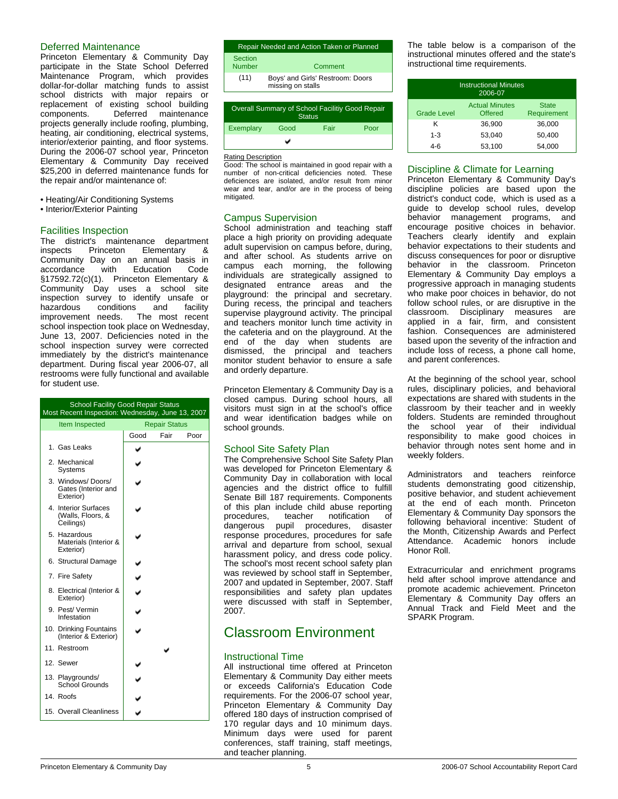#### Deferred Maintenance

Princeton Elementary & Community Day participate in the State School Deferred Maintenance Program, which provides dollar-for-dollar matching funds to assist school districts with major repairs or replacement of existing school building components. Deferred maintenance projects generally include roofing, plumbing, heating, air conditioning, electrical systems, interior/exterior painting, and floor systems. During the 2006-07 school year, Princeton Elementary & Community Day received \$25,200 in deferred maintenance funds for the repair and/or maintenance of:

- Heating/Air Conditioning Systems
- Interior/Exterior Painting

#### Facilities Inspection

The district's maintenance department<br>inspects Princeton Elementary & **Elementary** Community Day on an annual basis in<br>accordance with Education Code Education §17592.72(c)(1). Princeton Elementary & Community Day uses a school site inspection survey to identify unsafe or hazardous conditions and facility improvement needs. The most recent school inspection took place on Wednesday, June 13, 2007. Deficiencies noted in the school inspection survey were corrected immediately by the district's maintenance department. During fiscal year 2006-07, all restrooms were fully functional and available for student use.

| <b>School Facility Good Repair Status</b><br>Most Recent Inspection: Wednesday, June 13, 2007 |      |                      |      |
|-----------------------------------------------------------------------------------------------|------|----------------------|------|
| Item Inspected                                                                                |      | <b>Repair Status</b> |      |
|                                                                                               | Good | Fair                 | Poor |
| 1. Gas Leaks                                                                                  |      |                      |      |
| 2. Mechanical<br>Systems                                                                      |      |                      |      |
| 3. Windows/ Doors/<br>Gates (Interior and<br>Exterior)                                        |      |                      |      |
| 4. Interior Surfaces<br>(Walls, Floors, &<br>Ceilings)                                        |      |                      |      |
| 5. Hazardous<br>Materials (Interior &<br>Exterior)                                            |      |                      |      |
| 6. Structural Damage                                                                          |      |                      |      |
| 7. Fire Safety                                                                                |      |                      |      |
| 8. Electrical (Interior &<br>Exterior)                                                        |      |                      |      |
| 9. Pest/Vermin<br>Infestation                                                                 |      |                      |      |
| 10. Drinking Fountains<br>(Interior & Exterior)                                               |      |                      |      |
| 11. Restroom                                                                                  |      |                      |      |
| 12. Sewer                                                                                     |      |                      |      |
| 13. Playgrounds/<br>School Grounds                                                            |      |                      |      |
| 14. Roofs                                                                                     |      |                      |      |
| 15. Overall Cleanliness                                                                       |      |                      |      |



Rating Description

Good: The school is maintained in good repair with a number of non-critical deficiencies noted. These deficiences are isolated, and/or result from minor wear and tear, and/or are in the process of being mitigated.

#### Campus Supervision

School administration and teaching staff place a high priority on providing adequate adult supervision on campus before, during, and after school. As students arrive on campus each morning, the following individuals are strategically assigned to designated entrance areas and the playground: the principal and secretary. During recess, the principal and teachers supervise playground activity. The principal and teachers monitor lunch time activity in the cafeteria and on the playground. At the end of the day when students are dismissed, the principal and teachers monitor student behavior to ensure a safe and orderly departure.

Princeton Elementary & Community Day is a closed campus. During school hours, all visitors must sign in at the school's office and wear identification badges while on school grounds.

#### School Site Safety Plan

The Comprehensive School Site Safety Plan was developed for Princeton Elementary & Community Day in collaboration with local agencies and the district office to fulfill Senate Bill 187 requirements. Components of this plan include child abuse reporting<br>procedures, teacher notification of procedures, teacher notification of dangerous pupil procedures, disaster response procedures, procedures for safe arrival and departure from school, sexual harassment policy, and dress code policy. The school's most recent school safety plan was reviewed by school staff in September, 2007 and updated in September, 2007. Staff responsibilities and safety plan updates were discussed with staff in September, 2007.

# Classroom Environment

#### Instructional Time

All instructional time offered at Princeton Elementary & Community Day either meets or exceeds California's Education Code requirements. For the 2006-07 school year, Princeton Elementary & Community Day offered 180 days of instruction comprised of 170 regular days and 10 minimum days. Minimum days were used for parent conferences, staff training, staff meetings, and teacher planning.

The table below is a comparison of the instructional minutes offered and the state's instructional time requirements.

|                    | <b>Instructional Minutes</b><br>2006-07 |                             |
|--------------------|-----------------------------------------|-----------------------------|
| <b>Grade Level</b> | <b>Actual Minutes</b><br><b>Offered</b> | <b>State</b><br>Requirement |
| ĸ                  | 36,900                                  | 36,000                      |
| $1 - 3$            | 53.040                                  | 50,400                      |
| 4-6                | 53,100                                  | 54.000                      |

#### Discipline & Climate for Learning

Princeton Elementary & Community Day's discipline policies are based upon the district's conduct code, which is used as a guide to develop school rules, develop behavior management programs, and encourage positive choices in behavior. Teachers clearly identify and explain behavior expectations to their students and discuss consequences for poor or disruptive behavior in the classroom. Princeton Elementary & Community Day employs a progressive approach in managing students who make poor choices in behavior, do not follow school rules, or are disruptive in the classroom. Disciplinary measures are applied in a fair, firm, and consistent fashion. Consequences are administered based upon the severity of the infraction and include loss of recess, a phone call home, and parent conferences.

At the beginning of the school year, school rules, disciplinary policies, and behavioral expectations are shared with students in the classroom by their teacher and in weekly folders. Students are reminded throughout the school year of their individual responsibility to make good choices in behavior through notes sent home and in weekly folders.

Administrators and teachers reinforce students demonstrating good citizenship, positive behavior, and student achievement at the end of each month. Princeton Elementary & Community Day sponsors the following behavioral incentive: Student of the Month, Citizenship Awards and Perfect Attendance. Academic honors include Honor Roll.

Extracurricular and enrichment programs held after school improve attendance and promote academic achievement. Princeton Elementary & Community Day offers an Annual Track and Field Meet and the SPARK Program.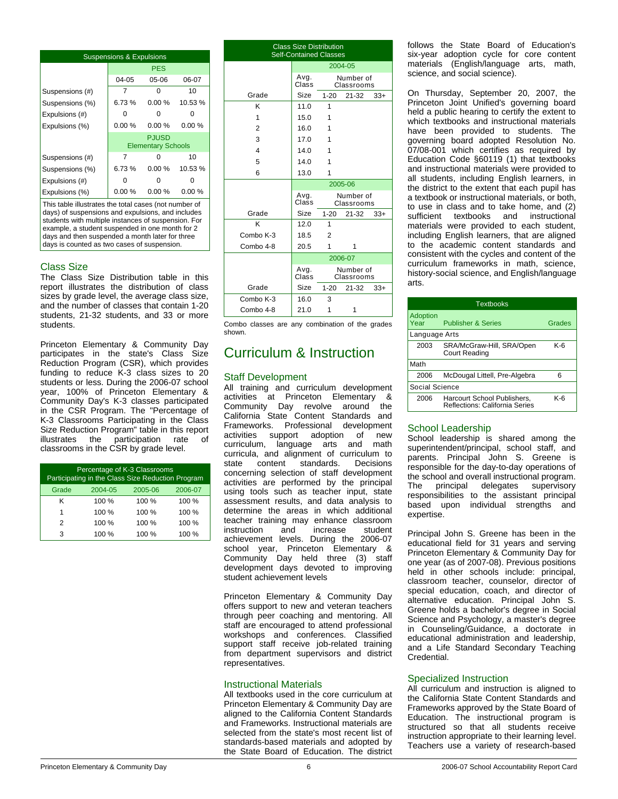| <b>Suspensions &amp; Expulsions</b> |                                           |          |          |  |  |
|-------------------------------------|-------------------------------------------|----------|----------|--|--|
|                                     | <b>PES</b>                                |          |          |  |  |
|                                     | 04-05                                     | 05-06    | 06-07    |  |  |
| Suspensions (#)                     | 7                                         | ŋ        | 10       |  |  |
| Suspensions (%)                     | 6.73%                                     | 0.00%    | 10.53 %  |  |  |
| Expulsions (#)                      | O                                         |          |          |  |  |
| Expulsions (%)                      | 0.00%<br>0.00%                            |          | 0.00%    |  |  |
|                                     | <b>PJUSD</b><br><b>Elementary Schools</b> |          |          |  |  |
| Suspensions (#)                     | 7                                         |          | 10       |  |  |
| Suspensions (%)                     | 6.73%                                     | 0.00%    | 10.53 %  |  |  |
| Expulsions (#)                      |                                           |          |          |  |  |
| Expulsions (%)                      | 0.00%                                     | $0.00\%$ | $0.00\%$ |  |  |

This table illustrates the total cases (not number of days) of suspensions and expulsions, and includes students with multiple instances of suspension. For example, a student suspended in one month for 2 days and then suspended a month later for three days is counted as two cases of suspension.

#### Class Size

The Class Size Distribution table in this report illustrates the distribution of class sizes by grade level, the average class size, and the number of classes that contain 1-20 students, 21-32 students, and 33 or more students.

Princeton Elementary & Community Day participates in the state's Class Size Reduction Program (CSR), which provides funding to reduce K-3 class sizes to 20 students or less. During the 2006-07 school year, 100% of Princeton Elementary & Community Day's K-3 classes participated in the CSR Program. The "Percentage of K-3 Classrooms Participating in the Class Size Reduction Program" table in this report illustrates the participation rate of classrooms in the CSR by grade level.

| Percentage of K-3 Classrooms<br>Participating in the Class Size Reduction Program |         |         |         |  |
|-----------------------------------------------------------------------------------|---------|---------|---------|--|
| Grade                                                                             | 2004-05 | 2005-06 | 2006-07 |  |
| ĸ                                                                                 | 100 %   | 100 %   | 100%    |  |
| 1                                                                                 | 100 %   | 100 %   | 100%    |  |
| 2                                                                                 | 100 %   | 100 %   | 100 %   |  |
| 3                                                                                 | 100 %   | 100 %   | 100 %   |  |

| <b>Class Size Distribution</b><br><b>Self-Contained Classes</b> |               |                         |                         |       |  |
|-----------------------------------------------------------------|---------------|-------------------------|-------------------------|-------|--|
|                                                                 |               | 2004-05                 |                         |       |  |
|                                                                 | Avg.<br>Class | Number of<br>Classrooms |                         |       |  |
| Grade                                                           | Size          | $1 - 20$                | $21 - 32$               | $33+$ |  |
| K                                                               | 11.0          | 1                       |                         |       |  |
| 1                                                               | 15.0          | 1                       |                         |       |  |
| $\overline{2}$                                                  | 16.0          | 1                       |                         |       |  |
| 3                                                               | 17.0          | 1                       |                         |       |  |
| $\overline{\mathbf{4}}$                                         | 14.0          | 1                       |                         |       |  |
| 5                                                               | 14.0          | 1                       |                         |       |  |
| 6                                                               | 13.0          | 1                       |                         |       |  |
|                                                                 | 2005-06       |                         |                         |       |  |
|                                                                 |               |                         |                         |       |  |
|                                                                 | Avg.<br>Class |                         | Number of<br>Classrooms |       |  |
| Grade                                                           | Size          | 1-20                    | $21 - 32$               | $33+$ |  |
| K                                                               | 12.0          | 1                       |                         |       |  |
| Combo K-3                                                       | 18.5          | $\overline{2}$          |                         |       |  |
| Combo 4-8                                                       | 20.5          | 1                       | 1                       |       |  |
|                                                                 |               |                         | 2006-07                 |       |  |
|                                                                 | Avg.<br>Class |                         | Number of<br>Classrooms |       |  |
| Grade                                                           | Size          | $1 - 20$                | $21 - 32$               | $33+$ |  |
| Combo K-3                                                       | 16.0          | 3                       |                         |       |  |

Combo classes are any combination of the grades shown.

# Curriculum & Instruction

### Staff Development

All training and curriculum development activities at Princeton Elementary & Community Day revolve around the California State Content Standards and Frameworks. Professional development activities support adoption of new curriculum, language arts and math curricula, and alignment of curriculum to state content standards. Decisions concerning selection of staff development activities are performed by the principal using tools such as teacher input, state assessment results, and data analysis to determine the areas in which additional teacher training may enhance classroom instruction and increase student achievement levels. During the 2006-07 school year, Princeton Elementary & Community Day held three (3) staff development days devoted to improving student achievement levels

Princeton Elementary & Community Day offers support to new and veteran teachers through peer coaching and mentoring. All staff are encouraged to attend professional workshops and conferences. Classified support staff receive job-related training from department supervisors and district representatives.

#### Instructional Materials

All textbooks used in the core curriculum at Princeton Elementary & Community Day are aligned to the California Content Standards and Frameworks. Instructional materials are selected from the state's most recent list of standards-based materials and adopted by the State Board of Education. The district follows the State Board of Education's six-year adoption cycle for core content materials (English/language arts, math, science, and social science).

On Thursday, September 20, 2007, the Princeton Joint Unified's governing board held a public hearing to certify the extent to which textbooks and instructional materials have been provided to students. The governing board adopted Resolution No. 07/08-001 which certifies as required by Education Code §60119 (1) that textbooks and instructional materials were provided to all students, including English learners, in the district to the extent that each pupil has a textbook or instructional materials, or both, to use in class and to take home, and (2) sufficient textbooks and instructional materials were provided to each student, including English learners, that are aligned to the academic content standards and consistent with the cycles and content of the curriculum frameworks in math, science, history-social science, and English/language arts.

| <b>Textbooks</b> |                                                               |        |  |
|------------------|---------------------------------------------------------------|--------|--|
| Adoption<br>Year | <b>Publisher &amp; Series</b>                                 | Grades |  |
| Language Arts    |                                                               |        |  |
| 2003             | SRA/McGraw-Hill, SRA/Open<br>Court Reading                    | K-6    |  |
| Math             |                                                               |        |  |
| 2006             | McDougal Littell, Pre-Algebra                                 | 6      |  |
| Social Science   |                                                               |        |  |
| 2006             | Harcourt School Publishers,<br>Reflections: California Series | $K-6$  |  |

#### School Leadership

School leadership is shared among the superintendent/principal, school staff, and parents. Principal John S. Greene is responsible for the day-to-day operations of the school and overall instructional program. The principal delegates supervisory responsibilities to the assistant principal based upon individual strengths and expertise.

Principal John S. Greene has been in the educational field for 31 years and serving Princeton Elementary & Community Day for one year (as of 2007-08). Previous positions held in other schools include: principal, classroom teacher, counselor, director of special education, coach, and director of alternative education. Principal John S. Greene holds a bachelor's degree in Social Science and Psychology, a master's degree in Counseling/Guidance, a doctorate in educational administration and leadership, and a Life Standard Secondary Teaching Credential.

#### Specialized Instruction

All curriculum and instruction is aligned to the California State Content Standards and Frameworks approved by the State Board of Education. The instructional program is structured so that all students receive instruction appropriate to their learning level. Teachers use a variety of research-based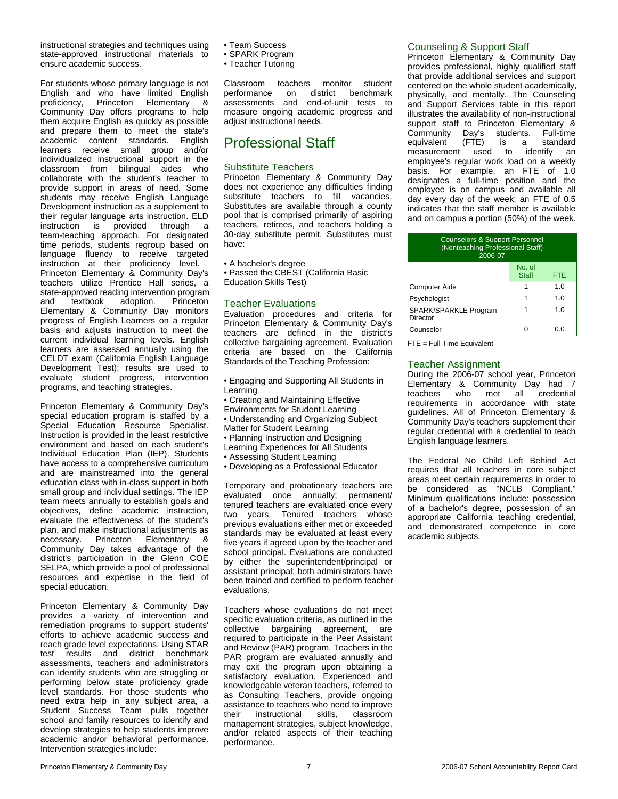instructional strategies and techniques using state-approved instructional materials to ensure academic success.

For students whose primary language is not English and who have limited English proficiency, Princeton Elementary & Community Day offers programs to help them acquire English as quickly as possible and prepare them to meet the state's academic content standards. English learners receive small group and/or individualized instructional support in the classroom from bilingual aides who collaborate with the student's teacher to provide support in areas of need. Some students may receive English Language Development instruction as a supplement to their regular language arts instruction. ELD<br>instruction is provided through a is provided through a team-teaching approach. For designated time periods, students regroup based on language fluency to receive targeted instruction at their proficiency level. Princeton Elementary & Community Day's teachers utilize Prentice Hall series, a state-approved reading intervention program<br>and textbook adoption. Princeton and textbook adoption. Princeton Elementary & Community Day monitors progress of English Learners on a regular basis and adjusts instruction to meet the current individual learning levels. English learners are assessed annually using the CELDT exam (California English Language Development Test); results are used to evaluate student progress, intervention programs, and teaching strategies.

Princeton Elementary & Community Day's special education program is staffed by a Special Education Resource Specialist. Instruction is provided in the least restrictive environment and based on each student's Individual Education Plan (IEP). Students have access to a comprehensive curriculum and are mainstreamed into the general education class with in-class support in both small group and individual settings. The IEP team meets annually to establish goals and objectives, define academic instruction, evaluate the effectiveness of the student's plan, and make instructional adjustments as necessary. Princeton Elementary & Community Day takes advantage of the district's participation in the Glenn COE SELPA, which provide a pool of professional resources and expertise in the field of special education.

Princeton Elementary & Community Day provides a variety of intervention and remediation programs to support students' efforts to achieve academic success and reach grade level expectations. Using STAR test results and district benchmark assessments, teachers and administrators can identify students who are struggling or performing below state proficiency grade level standards. For those students who need extra help in any subject area, a Student Success Team pulls together school and family resources to identify and develop strategies to help students improve academic and/or behavioral performance. Intervention strategies include:

- Team Success
- SPARK Program
- Teacher Tutoring

Classroom teachers monitor student performance on district benchmark assessments and end-of-unit tests to measure ongoing academic progress and adjust instructional needs.

# Professional Staff

#### Substitute Teachers

Princeton Elementary & Community Day does not experience any difficulties finding substitute teachers to fill vacancies. Substitutes are available through a county pool that is comprised primarily of aspiring teachers, retirees, and teachers holding a 30-day substitute permit. Substitutes must have:

• A bachelor's degree

• Passed the CBEST (California Basic Education Skills Test)

### Teacher Evaluations

Evaluation procedures and criteria for Princeton Elementary & Community Day's teachers are defined in the district's collective bargaining agreement. Evaluation criteria are based on the California Standards of the Teaching Profession:

• Engaging and Supporting All Students in Learning

- Creating and Maintaining Effective
- Environments for Student Learning
- Understanding and Organizing Subject
- Matter for Student Learning
- Planning Instruction and Designing
- Learning Experiences for All Students
- Assessing Student Learning
- Developing as a Professional Educator

Temporary and probationary teachers are evaluated once annually; permanent/ tenured teachers are evaluated once every two years. Tenured teachers whose previous evaluations either met or exceeded standards may be evaluated at least every five years if agreed upon by the teacher and school principal. Evaluations are conducted by either the superintendent/principal or assistant principal; both administrators have been trained and certified to perform teacher evaluations.

Teachers whose evaluations do not meet specific evaluation criteria, as outlined in the collective bargaining agreement, are required to participate in the Peer Assistant and Review (PAR) program. Teachers in the PAR program are evaluated annually and may exit the program upon obtaining a satisfactory evaluation. Experienced and knowledgeable veteran teachers, referred to as Consulting Teachers, provide ongoing assistance to teachers who need to improve<br>their instructional skills. classroom instructional management strategies, subject knowledge, and/or related aspects of their teaching performance.

### Counseling & Support Staff

Princeton Elementary & Community Day provides professional, highly qualified staff that provide additional services and support centered on the whole student academically, physically, and mentally. The Counseling and Support Services table in this report illustrates the availability of non-instructional support staff to Princeton Elementary & Community Day's students. Full-time<br>equivalent (FTE) is a standard equivalent measurement used to identify an employee's regular work load on a weekly basis. For example, an FTE of 1.0 designates a full-time position and the employee is on campus and available all day every day of the week; an FTE of 0.5 indicates that the staff member is available and on campus a portion (50%) of the week.

| <b>Counselors &amp; Support Personnel</b><br>(Nonteaching Professional Staff)<br>2006-07 |   |     |  |  |
|------------------------------------------------------------------------------------------|---|-----|--|--|
| No. of<br><b>Staff</b><br><b>FTE</b>                                                     |   |     |  |  |
| <b>Computer Aide</b>                                                                     | 1 | 1.0 |  |  |
| Psychologist                                                                             | 1 | 1.0 |  |  |
| SPARK/SPARKLE Program<br>Director                                                        | 1 | 1 O |  |  |
| Counselor                                                                                |   | იი  |  |  |

FTE = Full-Time Equivalent

### Teacher Assignment

During the 2006-07 school year, Princeton Elementary & Community Day had 7<br>teachers who met all credential who met all credential requirements in accordance with state guidelines. All of Princeton Elementary & Community Day's teachers supplement their regular credential with a credential to teach English language learners.

The Federal No Child Left Behind Act requires that all teachers in core subject areas meet certain requirements in order to be considered as "NCLB Compliant." Minimum qualifications include: possession of a bachelor's degree, possession of an appropriate California teaching credential, and demonstrated competence in core academic subjects.